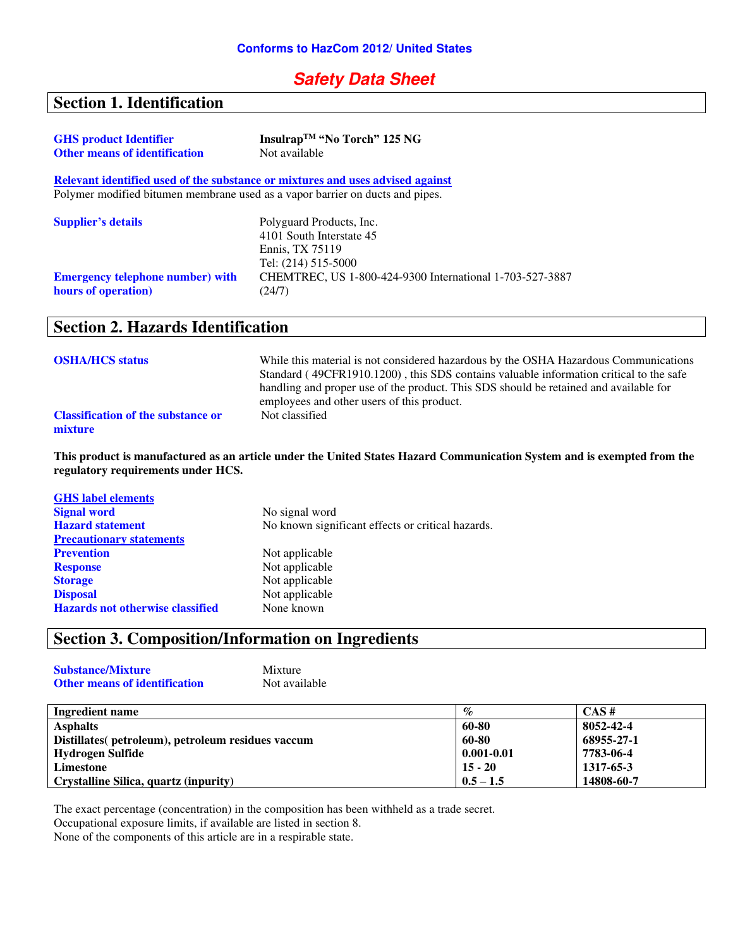## **Safety Data Sheet**

# **Section 1. Identification**

| <b>GHS</b> product Identifier                                                 | Insulrap <sup>™</sup> "No Torch" 125 NG                                        |
|-------------------------------------------------------------------------------|--------------------------------------------------------------------------------|
| <b>Other means of identification</b>                                          | Not available                                                                  |
|                                                                               | Relevant identified used of the substance or mixtures and uses advised against |
| Polymer modified bitumen membrane used as a vapor barrier on ducts and pipes. |                                                                                |
| <b>Supplier's details</b>                                                     | Polyguard Products, Inc.                                                       |
|                                                                               | 4101 South Interstate 45                                                       |
|                                                                               | Ennis, TX 75119                                                                |
|                                                                               | Tel: (214) 515-5000                                                            |
| <b>Emergency telephone number) with</b>                                       | CHEMTREC, US 1-800-424-9300 International 1-703-527-3887                       |
| hours of operation)                                                           | (24/7)                                                                         |

## **Section 2. Hazards Identification**

| <b>OSHA/HCS status</b>                               | While this material is not considered hazardous by the OSHA Hazardous Communications<br>Standard (49CFR1910.1200), this SDS contains valuable information critical to the safe<br>handling and proper use of the product. This SDS should be retained and available for<br>employees and other users of this product. |
|------------------------------------------------------|-----------------------------------------------------------------------------------------------------------------------------------------------------------------------------------------------------------------------------------------------------------------------------------------------------------------------|
| <b>Classification of the substance or</b><br>mixture | Not classified                                                                                                                                                                                                                                                                                                        |

**This product is manufactured as an article under the United States Hazard Communication System and is exempted from the regulatory requirements under HCS.** 

| No signal word                                    |
|---------------------------------------------------|
| No known significant effects or critical hazards. |
|                                                   |
| Not applicable                                    |
| Not applicable                                    |
| Not applicable                                    |
| Not applicable                                    |
| None known                                        |
|                                                   |

# **Section 3. Composition/Information on Ingredients**

| <b>Substance/Mixture</b>             | Mixture       |
|--------------------------------------|---------------|
| <b>Other means of identification</b> | Not available |

| Ingredient name                                    | $\%$           | CAS#       |
|----------------------------------------------------|----------------|------------|
| <b>Asphalts</b>                                    | 60-80          | 8052-42-4  |
| Distillates (petroleum), petroleum residues vaccum | 60-80          | 68955-27-1 |
| Hydrogen Sulfide                                   | $0.001 - 0.01$ | 7783-06-4  |
| Limestone                                          | $15 - 20$      | 1317-65-3  |
| <b>Crystalline Silica, quartz (inpurity)</b>       | $0.5 - 1.5$    | 14808-60-7 |

The exact percentage (concentration) in the composition has been withheld as a trade secret.

Occupational exposure limits, if available are listed in section 8.

None of the components of this article are in a respirable state.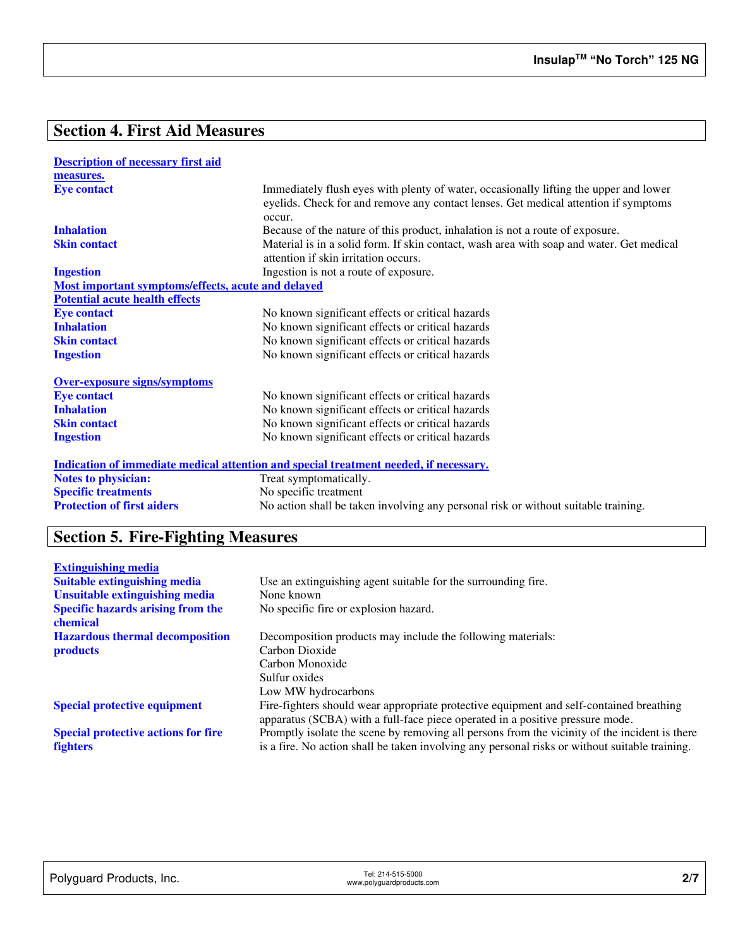# **Section 4. First Aid Measures**

| <b>Description of necessary first aid</b>          |                                                                                                                                                                                        |
|----------------------------------------------------|----------------------------------------------------------------------------------------------------------------------------------------------------------------------------------------|
| measures.                                          |                                                                                                                                                                                        |
| <b>Eye contact</b>                                 | Immediately flush eyes with plenty of water, occasionally lifting the upper and lower<br>eyelids. Check for and remove any contact lenses. Get medical attention if symptoms<br>occur. |
| <b>Inhalation</b>                                  | Because of the nature of this product, inhalation is not a route of exposure.                                                                                                          |
| <b>Skin contact</b>                                | Material is in a solid form. If skin contact, wash area with soap and water. Get medical<br>attention if skin irritation occurs.                                                       |
| <b>Ingestion</b>                                   | Ingestion is not a route of exposure.                                                                                                                                                  |
| Most important symptoms/effects, acute and delayed |                                                                                                                                                                                        |
| <b>Potential acute health effects</b>              |                                                                                                                                                                                        |
| <b>Eye contact</b>                                 | No known significant effects or critical hazards                                                                                                                                       |
| <b>Inhalation</b>                                  | No known significant effects or critical hazards                                                                                                                                       |
| <b>Skin contact</b>                                | No known significant effects or critical hazards                                                                                                                                       |
| <b>Ingestion</b>                                   | No known significant effects or critical hazards                                                                                                                                       |
| <b>Over-exposure signs/symptoms</b>                |                                                                                                                                                                                        |
| <b>Eye contact</b>                                 | No known significant effects or critical hazards                                                                                                                                       |
| <b>Inhalation</b>                                  | No known significant effects or critical hazards                                                                                                                                       |
| <b>Skin contact</b>                                | No known significant effects or critical hazards                                                                                                                                       |
| <b>Ingestion</b>                                   | No known significant effects or critical hazards                                                                                                                                       |
|                                                    | <u>Indication of immediate medical attention and special treatment needed, if necessary.</u>                                                                                           |
| <b>Notes to physician:</b>                         | Treat symptomatically.                                                                                                                                                                 |
| <b>Specific treatments</b>                         | No specific treatment                                                                                                                                                                  |
| <b>Protection of first aiders</b>                  | No action shall be taken involving any personal risk or without suitable training.                                                                                                     |

# **Section 5. Fire-Fighting Measures**

| <b>Extinguishing media</b>                           |                                                                                                |
|------------------------------------------------------|------------------------------------------------------------------------------------------------|
| <b>Suitable extinguishing media</b>                  | Use an extinguishing agent suitable for the surrounding fire.                                  |
| <b>Unsuitable extinguishing media</b>                | None known                                                                                     |
| <b>Specific hazards arising from the</b><br>chemical | No specific fire or explosion hazard.                                                          |
| <b>Hazardous thermal decomposition</b>               | Decomposition products may include the following materials:                                    |
| <b>products</b>                                      | Carbon Dioxide                                                                                 |
|                                                      | Carbon Monoxide                                                                                |
|                                                      | Sulfur oxides                                                                                  |
|                                                      | Low MW hydrocarbons                                                                            |
| <b>Special protective equipment</b>                  | Fire-fighters should wear appropriate protective equipment and self-contained breathing        |
|                                                      | apparatus (SCBA) with a full-face piece operated in a positive pressure mode.                  |
| <b>Special protective actions for fire</b>           | Promptly isolate the scene by removing all persons from the vicinity of the incident is there  |
| <b>fighters</b>                                      | is a fire. No action shall be taken involving any personal risks or without suitable training. |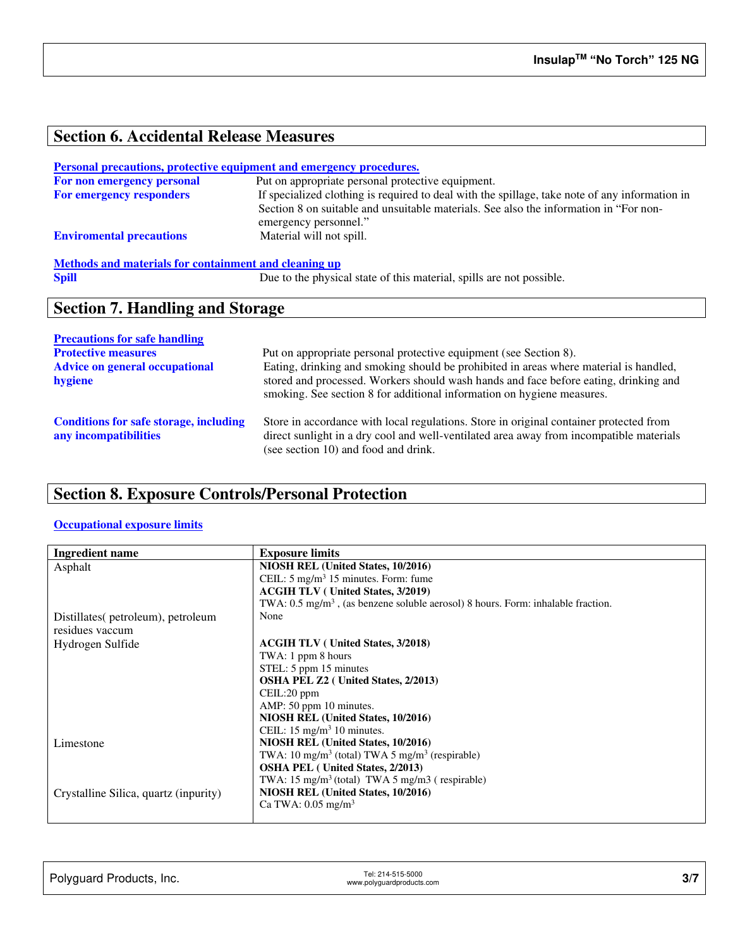# **Section 6. Accidental Release Measures**

#### **Personal precautions, protective equipment and emergency procedures.**

| For non emergency personal      | Put on appropriate personal protective equipment.                                                              |
|---------------------------------|----------------------------------------------------------------------------------------------------------------|
| <b>For emergency responders</b> | If specialized clothing is required to deal with the spillage, take note of any information in                 |
|                                 | Section 8 on suitable and unsuitable materials. See also the information in "For non-<br>emergency personnel." |
| <b>Enviromental precautions</b> | Material will not spill.                                                                                       |
|                                 |                                                                                                                |

# **Methods and materials for containment and cleaning up**<br> **Spill** Due to the physic

Due to the physical state of this material, spills are not possible.

## **Section 7. Handling and Storage**

| <b>Precautions for safe handling</b>                                   |                                                                                                                                                                                                                                                         |
|------------------------------------------------------------------------|---------------------------------------------------------------------------------------------------------------------------------------------------------------------------------------------------------------------------------------------------------|
| <b>Protective measures</b>                                             | Put on appropriate personal protective equipment (see Section 8).                                                                                                                                                                                       |
| <b>Advice on general occupational</b><br>hygiene                       | Eating, drinking and smoking should be prohibited in areas where material is handled,<br>stored and processed. Workers should wash hands and face before eating, drinking and<br>smoking. See section 8 for additional information on hygiene measures. |
| <b>Conditions for safe storage, including</b><br>any incompatibilities | Store in accordance with local regulations. Store in original container protected from<br>direct sunlight in a dry cool and well-ventilated area away from incompatible materials<br>(see section 10) and food and drink.                               |

# **Section 8. Exposure Controls/Personal Protection**

#### **Occupational exposure limits**

| <b>Ingredient name</b>                | <b>Exposure limits</b>                                                                      |
|---------------------------------------|---------------------------------------------------------------------------------------------|
| Asphalt                               | NIOSH REL (United States, 10/2016)                                                          |
|                                       | CEIL: $5 \text{ mg/m}^3$ 15 minutes. Form: fume                                             |
|                                       | <b>ACGIH TLV</b> (United States, 3/2019)                                                    |
|                                       | TWA: $0.5 \text{ mg/m}^3$ , (as benzene soluble aerosol) 8 hours. Form: inhalable fraction. |
| Distillates (petroleum), petroleum    | None                                                                                        |
| residues vaccum                       |                                                                                             |
| Hydrogen Sulfide                      | <b>ACGIH TLV</b> (United States, 3/2018)                                                    |
|                                       | TWA: 1 ppm 8 hours                                                                          |
|                                       | STEL: 5 ppm 15 minutes                                                                      |
|                                       | <b>OSHA PEL Z2</b> ( United States, 2/2013)                                                 |
|                                       | CEIL:20 ppm                                                                                 |
|                                       | AMP: 50 ppm 10 minutes.                                                                     |
|                                       | NIOSH REL (United States, 10/2016)                                                          |
|                                       | CEIL: $15 \text{ mg/m}^3$ 10 minutes.                                                       |
| Limestone                             | NIOSH REL (United States, 10/2016)                                                          |
|                                       | TWA: $10 \text{ mg/m}^3$ (total) TWA 5 mg/m <sup>3</sup> (respirable)                       |
|                                       | <b>OSHA PEL</b> (United States, 2/2013)                                                     |
|                                       | TWA: $15 \text{ mg/m}^3$ (total) TWA 5 mg/m3 (respirable)                                   |
| Crystalline Silica, quartz (inpurity) | NIOSH REL (United States, 10/2016)                                                          |
|                                       | Ca TWA: $0.05$ mg/m <sup>3</sup>                                                            |
|                                       |                                                                                             |

| Polyguard Products, Inc. | Tel: 214-515-5000<br>www.polyguardproducts.com | 3/7 |
|--------------------------|------------------------------------------------|-----|
|                          |                                                |     |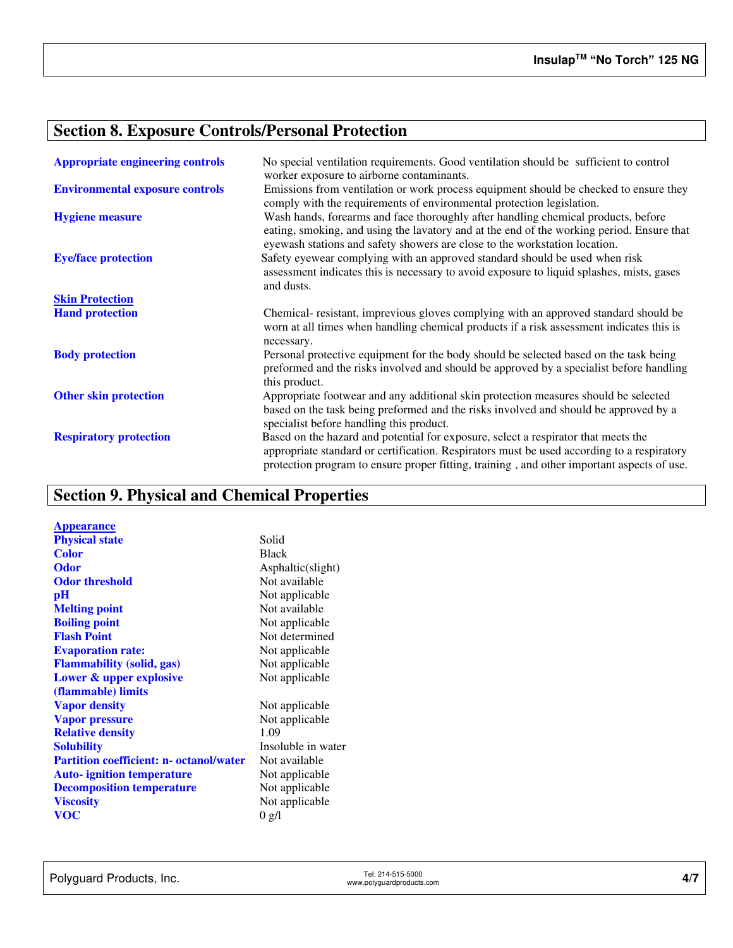# **Section 8. Exposure Controls/Personal Protection**

| <b>Appropriate engineering controls</b> | No special ventilation requirements. Good ventilation should be sufficient to control<br>worker exposure to airborne contaminants.                                                                                                                                             |
|-----------------------------------------|--------------------------------------------------------------------------------------------------------------------------------------------------------------------------------------------------------------------------------------------------------------------------------|
| <b>Environmental exposure controls</b>  | Emissions from ventilation or work process equipment should be checked to ensure they<br>comply with the requirements of environmental protection legislation.                                                                                                                 |
| <b>Hygiene measure</b>                  | Wash hands, forearms and face thoroughly after handling chemical products, before<br>eating, smoking, and using the lavatory and at the end of the working period. Ensure that<br>eyewash stations and safety showers are close to the workstation location.                   |
| <b>Eye/face protection</b>              | Safety eyewear complying with an approved standard should be used when risk<br>assessment indicates this is necessary to avoid exposure to liquid splashes, mists, gases<br>and dusts.                                                                                         |
| <b>Skin Protection</b>                  |                                                                                                                                                                                                                                                                                |
| <b>Hand protection</b>                  | Chemical-resistant, imprevious gloves complying with an approved standard should be<br>worn at all times when handling chemical products if a risk assessment indicates this is<br>necessary.                                                                                  |
| <b>Body protection</b>                  | Personal protective equipment for the body should be selected based on the task being<br>preformed and the risks involved and should be approved by a specialist before handling<br>this product.                                                                              |
| <b>Other skin protection</b>            | Appropriate footwear and any additional skin protection measures should be selected<br>based on the task being preformed and the risks involved and should be approved by a<br>specialist before handling this product.                                                        |
| <b>Respiratory protection</b>           | Based on the hazard and potential for exposure, select a respirator that meets the<br>appropriate standard or certification. Respirators must be used according to a respiratory<br>protection program to ensure proper fitting, training, and other important aspects of use. |

# **Section 9. Physical and Chemical Properties**

| <b>Appearance</b>                              |                    |
|------------------------------------------------|--------------------|
| <b>Physical state</b>                          | Solid              |
| <b>Color</b>                                   | <b>Black</b>       |
| <b>Odor</b>                                    | Asphaltic(slight)  |
| <b>Odor threshold</b>                          | Not available      |
| рH                                             | Not applicable     |
| <b>Melting point</b>                           | Not available      |
| <b>Boiling point</b>                           | Not applicable     |
| <b>Flash Point</b>                             | Not determined     |
| <b>Evaporation rate:</b>                       | Not applicable     |
| <b>Flammability (solid, gas)</b>               | Not applicable     |
| Lower & upper explosive                        | Not applicable     |
| (flammable) limits                             |                    |
| <b>Vapor density</b>                           | Not applicable     |
| <b>Vapor pressure</b>                          | Not applicable     |
| <b>Relative density</b>                        | 1.09               |
| <b>Solubility</b>                              | Insoluble in water |
| <b>Partition coefficient: n- octanol/water</b> | Not available      |
| <b>Auto-</b> ignition temperature              | Not applicable     |
| <b>Decomposition temperature</b>               | Not applicable     |
| <b>Viscosity</b>                               | Not applicable     |
| <b>VOC</b>                                     | 0 g/l              |
|                                                |                    |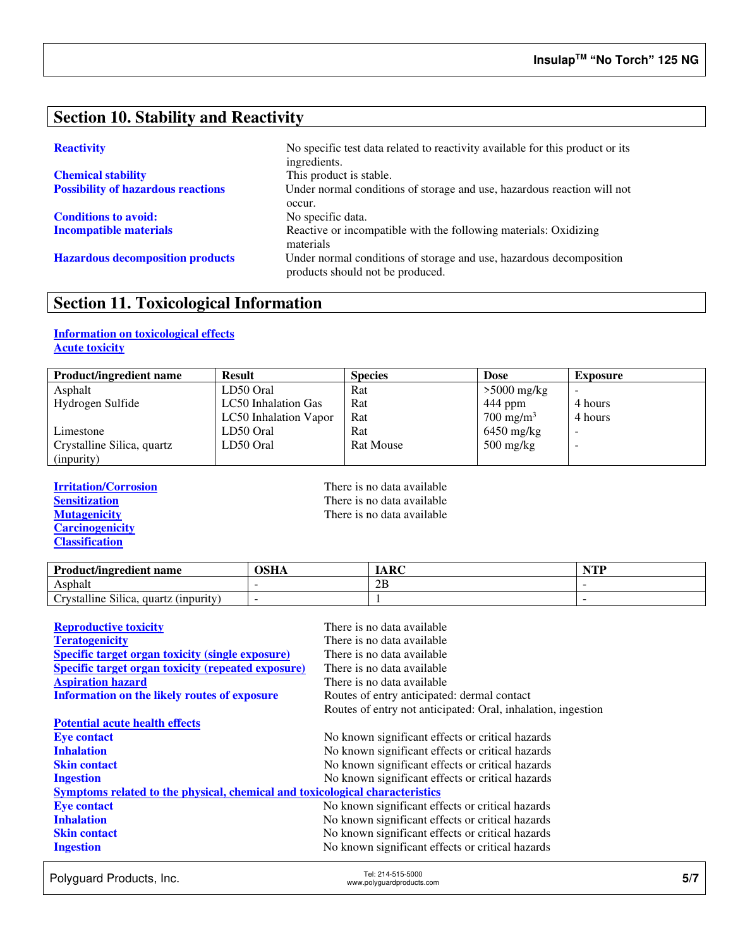## **Section 10. Stability and Reactivity**

| <b>Chemical stability</b>                 |
|-------------------------------------------|
| <b>Possibility of hazardous reactions</b> |

**Conditions to avoid:** No specific data.

**Reactivity No specific test data related to reactivity available for this product or its** ingredients. This product is stable. Under normal conditions of storage and use, hazardous reaction will not occur. **Incompatible materials Reactive or incompatible with the following materials: Oxidizing** materials **Hazardous decomposition products** Under normal conditions of storage and use, hazardous decomposition products should not be produced.

# **Section 11. Toxicological Information**

## **Information on toxicological effects Acute toxicity**

| <b>Product/ingredient name</b> | <b>Result</b>         | <b>Species</b>   | <b>Dose</b>                       | <b>Exposure</b> |
|--------------------------------|-----------------------|------------------|-----------------------------------|-----------------|
| Asphalt                        | LD50 Oral             | Rat              | $>5000$ mg/kg                     |                 |
| Hydrogen Sulfide               | LC50 Inhalation Gas   | Rat              | 444 ppm                           | 4 hours         |
|                                | LC50 Inhalation Vapor | Rat              | $700 \text{ mg/m}^3$              | 4 hours         |
| Limestone                      | LD50 Oral             | Rat              | $6450$ mg/kg                      |                 |
| Crystalline Silica, quartz     | LD50 Oral             | <b>Rat Mouse</b> | $500 \frac{\text{mg}}{\text{kg}}$ | -               |
| (inpurity)                     |                       |                  |                                   |                 |

**Carcinogenicity Classification** 

**Irritation/Corrosion**<br> **IFREP Sensitization**<br> **IFREP Sensitization**<br> **IFREP SENSITY SENSITY SENSITY SENSITY SENSITY SENSITY SENSITY SENSITY SENSITY SENSITY SENSITY SENSITY SENSITY SENSITY SENSITY SENSITY SENSITY SENSITY S Sensitization**<br> **Nutagenicity**<br> **There is no data available**<br> **There is no data available** There is no data available

| <b>Product/ingredient name</b>        | <b>OSHA</b> | <b>IARC</b> | $\blacksquare$<br>, , , |
|---------------------------------------|-------------|-------------|-------------------------|
| Asphalt                               |             | 2B          |                         |
| Crystalline Silica, quartz (inpurity) |             |             |                         |

| <b>Reproductive toxicity</b>                                                 | There is no data available                                   |
|------------------------------------------------------------------------------|--------------------------------------------------------------|
| <b>Teratogenicity</b>                                                        | There is no data available                                   |
| <b>Specific target organ toxicity (single exposure)</b>                      | There is no data available                                   |
| <b>Specific target organ toxicity (repeated exposure)</b>                    | There is no data available                                   |
| <b>Aspiration hazard</b>                                                     | There is no data available                                   |
| <b>Information on the likely routes of exposure</b>                          | Routes of entry anticipated: dermal contact                  |
|                                                                              | Routes of entry not anticipated: Oral, inhalation, ingestion |
| <b>Potential acute health effects</b>                                        |                                                              |
| <b>Eye contact</b>                                                           | No known significant effects or critical hazards             |
| <b>Inhalation</b>                                                            | No known significant effects or critical hazards             |
| <b>Skin contact</b>                                                          | No known significant effects or critical hazards             |
| <b>Ingestion</b>                                                             | No known significant effects or critical hazards             |
| Symptoms related to the physical, chemical and toxicological characteristics |                                                              |
| <b>Eye contact</b>                                                           | No known significant effects or critical hazards             |
| <b>Inhalation</b>                                                            | No known significant effects or critical hazards             |
| <b>Skin contact</b>                                                          | No known significant effects or critical hazards             |
| <b>Ingestion</b>                                                             | No known significant effects or critical hazards             |

Polyguard Products, Inc. Tel: 214-515-5000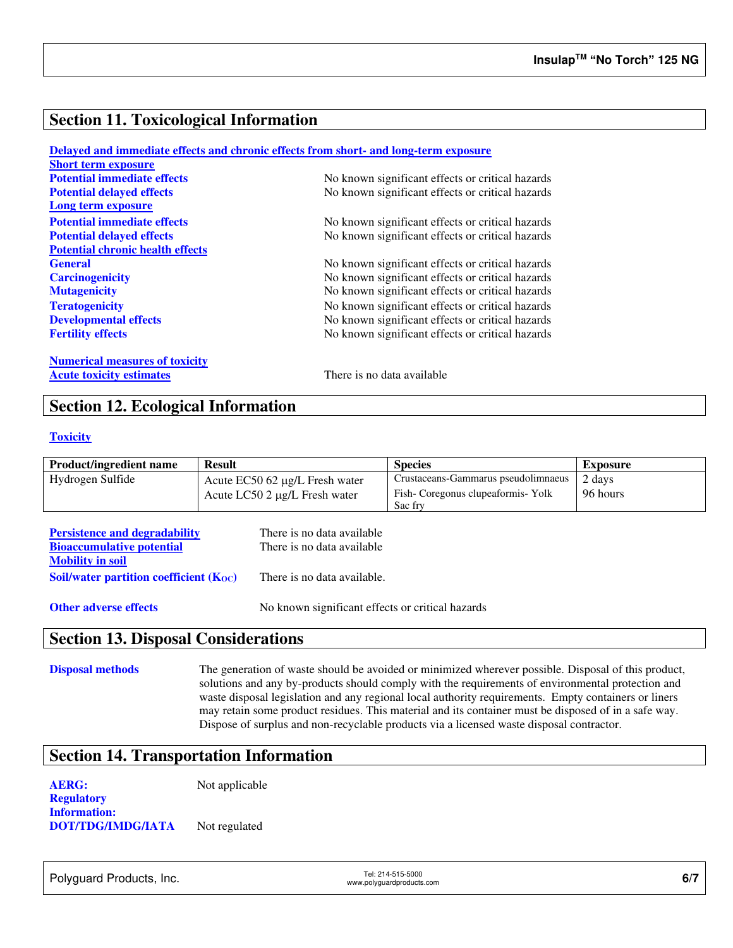## **Section 11. Toxicological Information**

|                                         | Delayed and immediate effects and chronic effects from short- and long-term exposure |
|-----------------------------------------|--------------------------------------------------------------------------------------|
| <b>Short term exposure</b>              |                                                                                      |
| <b>Potential immediate effects</b>      | No known significant effects or critical hazards                                     |
| <b>Potential delayed effects</b>        | No known significant effects or critical hazards                                     |
| Long term exposure                      |                                                                                      |
| <b>Potential immediate effects</b>      | No known significant effects or critical hazards                                     |
| <b>Potential delayed effects</b>        | No known significant effects or critical hazards                                     |
| <b>Potential chronic health effects</b> |                                                                                      |
| <b>General</b>                          | No known significant effects or critical hazards                                     |
| <b>Carcinogenicity</b>                  | No known significant effects or critical hazards                                     |
| <b>Mutagenicity</b>                     | No known significant effects or critical hazards                                     |
| <b>Teratogenicity</b>                   | No known significant effects or critical hazards                                     |
| <b>Developmental effects</b>            | No known significant effects or critical hazards                                     |
| <b>Fertility effects</b>                | No known significant effects or critical hazards                                     |
| <b>Numerical measures of toxicity</b>   |                                                                                      |
| <b>Acute toxicity estimates</b>         | There is no data available                                                           |

## **Section 12. Ecological Information**

### **Toxicity**

| <b>Product/ingredient name</b> | <b>Result</b>                         | <b>Species</b>                      | Exposure |
|--------------------------------|---------------------------------------|-------------------------------------|----------|
| Hydrogen Sulfide               | Acute $EC50$ 62 $\mu$ g/L Fresh water | Crustaceans-Gammarus pseudolimnaeus | 2 days   |
|                                | Acute LC50 2 μg/L Fresh water         | Fish-Coregonus clupeaformis-Yolk    | 96 hours |
|                                |                                       | Sac fry                             |          |

| <b>Persistence and degradability</b>        | There is no data available. |
|---------------------------------------------|-----------------------------|
| <b>Bioaccumulative potential</b>            | There is no data available. |
| <b>Mobility in soil</b>                     |                             |
| Soil/water partition coefficient $(K_{OC})$ | There is no data available. |
|                                             |                             |

**Other adverse effects** No known significant effects or critical hazards

## **Section 13. Disposal Considerations**

**Disposal methods** The generation of waste should be avoided or minimized wherever possible. Disposal of this product, solutions and any by-products should comply with the requirements of environmental protection and waste disposal legislation and any regional local authority requirements. Empty containers or liners may retain some product residues. This material and its container must be disposed of in a safe way. Dispose of surplus and non-recyclable products via a licensed waste disposal contractor.

## **Section 14. Transportation Information**

**AERG:** Not applicable **Regulatory Information: DOT/TDG/IMDG/IATA** Not regulated

Polyguard Products, Inc. Tel: 214-515-5000

er: 214-515-5000<br>www.polyguardproducts.com **6/7**